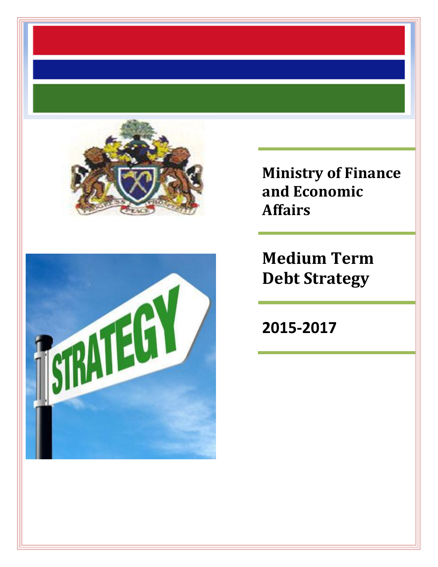



**Ministry of Finance and Economic Affairs**

**Medium Term Debt Strategy**

**2015-2017**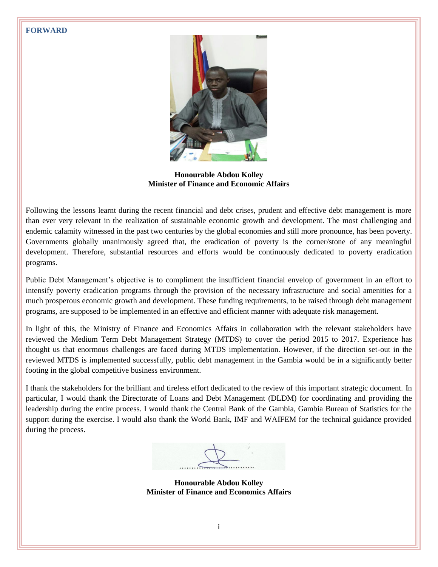#### <span id="page-1-0"></span>**FORWARD**



**Honourable Abdou Kolley Minister of Finance and Economic Affairs**

Following the lessons learnt during the recent financial and debt crises, prudent and effective debt management is more than ever very relevant in the realization of sustainable economic growth and development. The most challenging and endemic calamity witnessed in the past two centuries by the global economies and still more pronounce, has been poverty. Governments globally unanimously agreed that, the eradication of poverty is the corner/stone of any meaningful development. Therefore, substantial resources and efforts would be continuously dedicated to poverty eradication programs.

Public Debt Management's objective is to compliment the insufficient financial envelop of government in an effort to intensify poverty eradication programs through the provision of the necessary infrastructure and social amenities for a much prosperous economic growth and development. These funding requirements, to be raised through debt management programs, are supposed to be implemented in an effective and efficient manner with adequate risk management.

In light of this, the Ministry of Finance and Economics Affairs in collaboration with the relevant stakeholders have reviewed the Medium Term Debt Management Strategy (MTDS) to cover the period 2015 to 2017. Experience has thought us that enormous challenges are faced during MTDS implementation. However, if the direction set-out in the reviewed MTDS is implemented successfully, public debt management in the Gambia would be in a significantly better footing in the global competitive business environment.

I thank the stakeholders for the brilliant and tireless effort dedicated to the review of this important strategic document. In particular, I would thank the Directorate of Loans and Debt Management (DLDM) for coordinating and providing the leadership during the entire process. I would thank the Central Bank of the Gambia, Gambia Bureau of Statistics for the support during the exercise. I would also thank the World Bank, IMF and WAIFEM for the technical guidance provided during the process.

**Honourable Abdou Kolley Minister of Finance and Economics Affairs**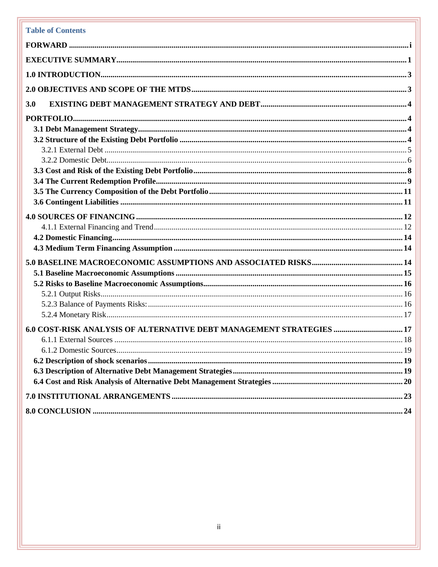# **Table of Contents**

| 3.0<br>6.0 COST-RISK ANALYSIS OF ALTERNATIVE DEBT MANAGEMENT STRATEGIES  17 |  |
|-----------------------------------------------------------------------------|--|
|                                                                             |  |
|                                                                             |  |
|                                                                             |  |
|                                                                             |  |
|                                                                             |  |
|                                                                             |  |
|                                                                             |  |
|                                                                             |  |
|                                                                             |  |
|                                                                             |  |
|                                                                             |  |
|                                                                             |  |
|                                                                             |  |
|                                                                             |  |
|                                                                             |  |
|                                                                             |  |
|                                                                             |  |
|                                                                             |  |
|                                                                             |  |
|                                                                             |  |
|                                                                             |  |
|                                                                             |  |
|                                                                             |  |
|                                                                             |  |
|                                                                             |  |
|                                                                             |  |
|                                                                             |  |
|                                                                             |  |
|                                                                             |  |
|                                                                             |  |
|                                                                             |  |
|                                                                             |  |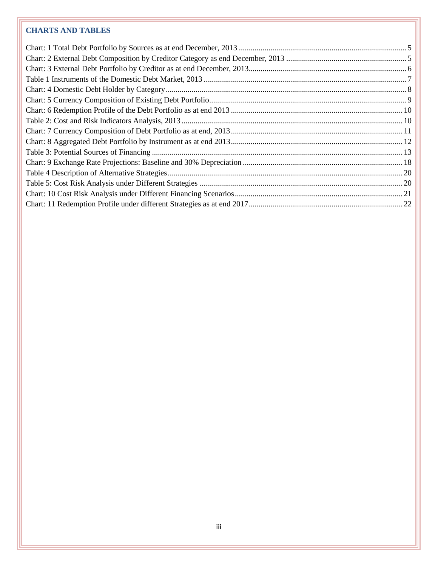# **CHARTS AND TABLES**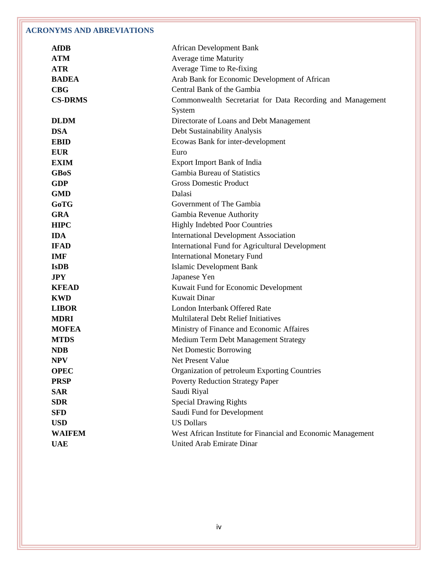# **ACRONYMS AND ABREVIATIONS**

| <b>AfDB</b>    | <b>African Development Bank</b>                              |
|----------------|--------------------------------------------------------------|
| <b>ATM</b>     | Average time Maturity                                        |
| <b>ATR</b>     | Average Time to Re-fixing                                    |
| <b>BADEA</b>   | Arab Bank for Economic Development of African                |
| CBG            | Central Bank of the Gambia                                   |
| <b>CS-DRMS</b> | Commonwealth Secretariat for Data Recording and Management   |
|                | System                                                       |
| <b>DLDM</b>    | Directorate of Loans and Debt Management                     |
| <b>DSA</b>     | Debt Sustainability Analysis                                 |
| <b>EBID</b>    | Ecowas Bank for inter-development                            |
| <b>EUR</b>     | Euro                                                         |
| <b>EXIM</b>    | <b>Export Import Bank of India</b>                           |
| <b>GBoS</b>    | Gambia Bureau of Statistics                                  |
| <b>GDP</b>     | <b>Gross Domestic Product</b>                                |
| <b>GMD</b>     | Dalasi                                                       |
| <b>GoTG</b>    | Government of The Gambia                                     |
| <b>GRA</b>     | Gambia Revenue Authority                                     |
| <b>HIPC</b>    | <b>Highly Indebted Poor Countries</b>                        |
| <b>IDA</b>     | <b>International Development Association</b>                 |
| <b>IFAD</b>    | <b>International Fund for Agricultural Development</b>       |
| <b>IMF</b>     | <b>International Monetary Fund</b>                           |
| <b>IsDB</b>    | Islamic Development Bank                                     |
| <b>JPY</b>     | Japanese Yen                                                 |
| <b>KFEAD</b>   | Kuwait Fund for Economic Development                         |
| <b>KWD</b>     | Kuwait Dinar                                                 |
| <b>LIBOR</b>   | London Interbank Offered Rate                                |
| <b>MDRI</b>    | Multilateral Debt Relief Initiatives                         |
| <b>MOFEA</b>   | Ministry of Finance and Economic Affaires                    |
| <b>MTDS</b>    | Medium Term Debt Management Strategy                         |
| <b>NDB</b>     | Net Domestic Borrowing                                       |
| <b>NPV</b>     | Net Present Value                                            |
| <b>OPEC</b>    | Organization of petroleum Exporting Countries                |
| <b>PRSP</b>    | <b>Poverty Reduction Strategy Paper</b>                      |
| <b>SAR</b>     | Saudi Riyal                                                  |
| <b>SDR</b>     | <b>Special Drawing Rights</b>                                |
| <b>SFD</b>     | Saudi Fund for Development                                   |
| <b>USD</b>     | <b>US Dollars</b>                                            |
| <b>WAIFEM</b>  | West African Institute for Financial and Economic Management |
| <b>UAE</b>     | United Arab Emirate Dinar                                    |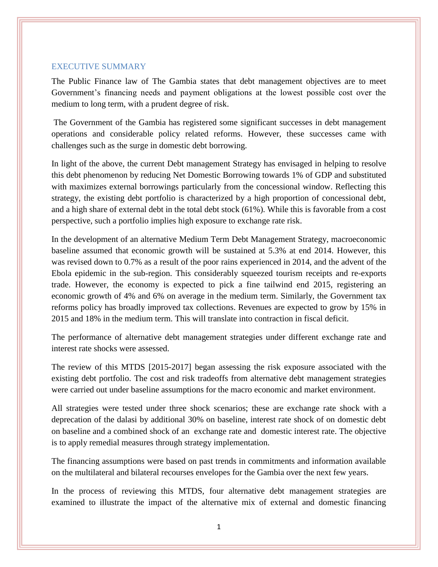#### <span id="page-5-0"></span>EXECUTIVE SUMMARY

The Public Finance law of The Gambia states that debt management objectives are to meet Government's financing needs and payment obligations at the lowest possible cost over the medium to long term, with a prudent degree of risk.

The Government of the Gambia has registered some significant successes in debt management operations and considerable policy related reforms. However, these successes came with challenges such as the surge in domestic debt borrowing.

In light of the above, the current Debt management Strategy has envisaged in helping to resolve this debt phenomenon by reducing Net Domestic Borrowing towards 1% of GDP and substituted with maximizes external borrowings particularly from the concessional window. Reflecting this strategy, the existing debt portfolio is characterized by a high proportion of concessional debt, and a high share of external debt in the total debt stock (61%). While this is favorable from a cost perspective, such a portfolio implies high exposure to exchange rate risk.

In the development of an alternative Medium Term Debt Management Strategy, macroeconomic baseline assumed that economic growth will be sustained at 5.3% at end 2014. However, this was revised down to 0.7% as a result of the poor rains experienced in 2014, and the advent of the Ebola epidemic in the sub-region. This considerably squeezed tourism receipts and re-exports trade. However, the economy is expected to pick a fine tailwind end 2015, registering an economic growth of 4% and 6% on average in the medium term. Similarly, the Government tax reforms policy has broadly improved tax collections. Revenues are expected to grow by 15% in 2015 and 18% in the medium term. This will translate into contraction in fiscal deficit.

The performance of alternative debt management strategies under different exchange rate and interest rate shocks were assessed.

The review of this MTDS [2015-2017] began assessing the risk exposure associated with the existing debt portfolio. The cost and risk tradeoffs from alternative debt management strategies were carried out under baseline assumptions for the macro economic and market environment.

All strategies were tested under three shock scenarios; these are exchange rate shock with a deprecation of the dalasi by additional 30% on baseline, interest rate shock of on domestic debt on baseline and a combined shock of an exchange rate and domestic interest rate. The objective is to apply remedial measures through strategy implementation.

The financing assumptions were based on past trends in commitments and information available on the multilateral and bilateral recourses envelopes for the Gambia over the next few years.

In the process of reviewing this MTDS, four alternative debt management strategies are examined to illustrate the impact of the alternative mix of external and domestic financing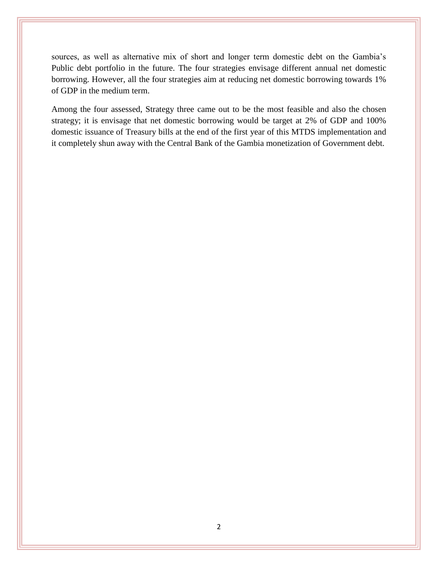sources, as well as alternative mix of short and longer term domestic debt on the Gambia's Public debt portfolio in the future. The four strategies envisage different annual net domestic borrowing. However, all the four strategies aim at reducing net domestic borrowing towards 1% of GDP in the medium term.

Among the four assessed, Strategy three came out to be the most feasible and also the chosen strategy; it is envisage that net domestic borrowing would be target at 2% of GDP and 100% domestic issuance of Treasury bills at the end of the first year of this MTDS implementation and it completely shun away with the Central Bank of the Gambia monetization of Government debt.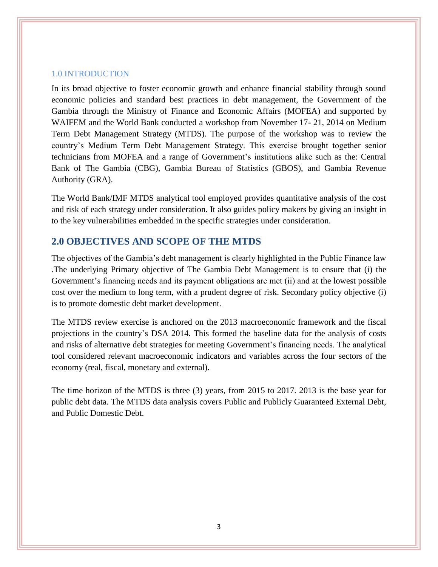#### <span id="page-7-0"></span>1.0 INTRODUCTION

In its broad objective to foster economic growth and enhance financial stability through sound economic policies and standard best practices in debt management, the Government of the Gambia through the Ministry of Finance and Economic Affairs (MOFEA) and supported by WAIFEM and the World Bank conducted a workshop from November 17- 21, 2014 on Medium Term Debt Management Strategy (MTDS). The purpose of the workshop was to review the country's Medium Term Debt Management Strategy. This exercise brought together senior technicians from MOFEA and a range of Government's institutions alike such as the: Central Bank of The Gambia (CBG), Gambia Bureau of Statistics (GBOS), and Gambia Revenue Authority (GRA).

The World Bank/IMF MTDS analytical tool employed provides quantitative analysis of the cost and risk of each strategy under consideration. It also guides policy makers by giving an insight in to the key vulnerabilities embedded in the specific strategies under consideration.

# <span id="page-7-1"></span>**2.0 OBJECTIVES AND SCOPE OF THE MTDS**

The objectives of the Gambia's debt management is clearly highlighted in the Public Finance law .The underlying Primary objective of The Gambia Debt Management is to ensure that (i) the Government's financing needs and its payment obligations are met (ii) and at the lowest possible cost over the medium to long term, with a prudent degree of risk. Secondary policy objective (i) is to promote domestic debt market development.

The MTDS review exercise is anchored on the 2013 macroeconomic framework and the fiscal projections in the country's DSA 2014. This formed the baseline data for the analysis of costs and risks of alternative debt strategies for meeting Government's financing needs. The analytical tool considered relevant macroeconomic indicators and variables across the four sectors of the economy (real, fiscal, monetary and external).

The time horizon of the MTDS is three (3) years, from 2015 to 2017. 2013 is the base year for public debt data. The MTDS data analysis covers Public and Publicly Guaranteed External Debt, and Public Domestic Debt.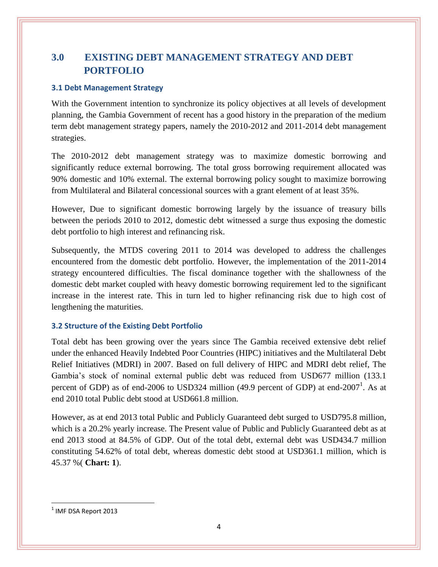# <span id="page-8-1"></span><span id="page-8-0"></span>**3.0 EXISTING DEBT MANAGEMENT STRATEGY AND DEBT PORTFOLIO**

# <span id="page-8-2"></span>**3.1 Debt Management Strategy**

With the Government intention to synchronize its policy objectives at all levels of development planning, the Gambia Government of recent has a good history in the preparation of the medium term debt management strategy papers, namely the 2010-2012 and 2011-2014 debt management strategies.

The 2010-2012 debt management strategy was to maximize domestic borrowing and significantly reduce external borrowing. The total gross borrowing requirement allocated was 90% domestic and 10% external. The external borrowing policy sought to maximize borrowing from Multilateral and Bilateral concessional sources with a grant element of at least 35%.

However, Due to significant domestic borrowing largely by the issuance of treasury bills between the periods 2010 to 2012, domestic debt witnessed a surge thus exposing the domestic debt portfolio to high interest and refinancing risk.

Subsequently, the MTDS covering 2011 to 2014 was developed to address the challenges encountered from the domestic debt portfolio. However, the implementation of the 2011-2014 strategy encountered difficulties. The fiscal dominance together with the shallowness of the domestic debt market coupled with heavy domestic borrowing requirement led to the significant increase in the interest rate. This in turn led to higher refinancing risk due to high cost of lengthening the maturities.

# <span id="page-8-3"></span>**3.2 Structure of the Existing Debt Portfolio**

Total debt has been growing over the years since The Gambia received extensive debt relief under the enhanced Heavily Indebted Poor Countries (HIPC) initiatives and the Multilateral Debt Relief Initiatives (MDRI) in 2007. Based on full delivery of HIPC and MDRI debt relief, The Gambia's stock of nominal external public debt was reduced from USD677 million (133.1 percent of GDP) as of end-2006 to USD324 million (49.9 percent of GDP) at end-2007<sup>1</sup>. As at end 2010 total Public debt stood at USD661.8 million.

However, as at end 2013 total Public and Publicly Guaranteed debt surged to USD795.8 million, which is a 20.2% yearly increase. The Present value of Public and Publicly Guaranteed debt as at end 2013 stood at 84.5% of GDP. Out of the total debt, external debt was USD434.7 million constituting 54.62% of total debt, whereas domestic debt stood at USD361.1 million, which is 45.37 %( **Chart: 1**).

<span id="page-8-4"></span> $\overline{\phantom{a}}$ 

 $^1$  IMF DSA Report 2013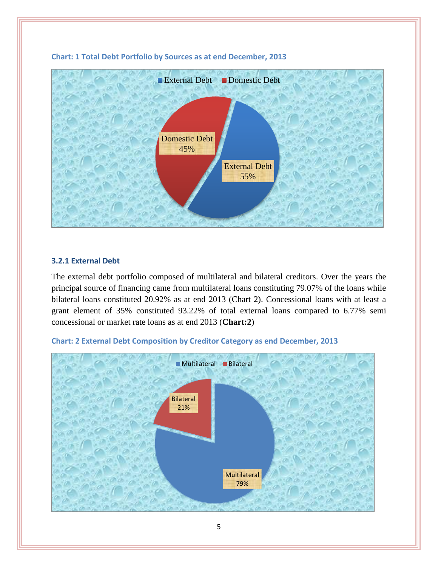

#### **Chart: 1 Total Debt Portfolio by Sources as at end December, 2013**

# <span id="page-9-0"></span>**3.2.1 External Debt**

The external debt portfolio composed of multilateral and bilateral creditors. Over the years the principal source of financing came from multilateral loans constituting 79.07% of the loans while bilateral loans constituted 20.92% as at end 2013 (Chart 2). Concessional loans with at least a grant element of 35% constituted 93.22% of total external loans compared to 6.77% semi concessional or market rate loans as at end 2013 (**Chart:2**)



#### <span id="page-9-1"></span>**Chart: 2 External Debt Composition by Creditor Category as end December, 2013**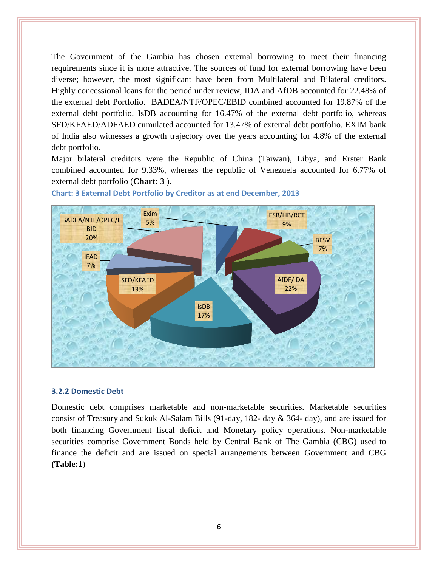The Government of the Gambia has chosen external borrowing to meet their financing requirements since it is more attractive. The sources of fund for external borrowing have been diverse; however, the most significant have been from Multilateral and Bilateral creditors. Highly concessional loans for the period under review, IDA and AfDB accounted for 22.48% of the external debt Portfolio. BADEA/NTF/OPEC/EBID combined accounted for 19.87% of the external debt portfolio. IsDB accounting for 16.47% of the external debt portfolio, whereas SFD/KFAED/ADFAED cumulated accounted for 13.47% of external debt portfolio. EXIM bank of India also witnesses a growth trajectory over the years accounting for 4.8% of the external debt portfolio.

Major bilateral creditors were the Republic of China (Taiwan), Libya, and Erster Bank combined accounted for 9.33%, whereas the republic of Venezuela accounted for 6.77% of external debt portfolio (**Chart: 3** ).



<span id="page-10-1"></span>**Chart: 3 External Debt Portfolio by Creditor as at end December, 2013**

#### <span id="page-10-0"></span>**3.2.2 Domestic Debt**

Domestic debt comprises marketable and non-marketable securities. Marketable securities consist of Treasury and Sukuk Al-Salam Bills (91-day, 182- day & 364- day), and are issued for both financing Government fiscal deficit and Monetary policy operations. Non-marketable securities comprise Government Bonds held by Central Bank of The Gambia (CBG) used to finance the deficit and are issued on special arrangements between Government and CBG **(Table:1**)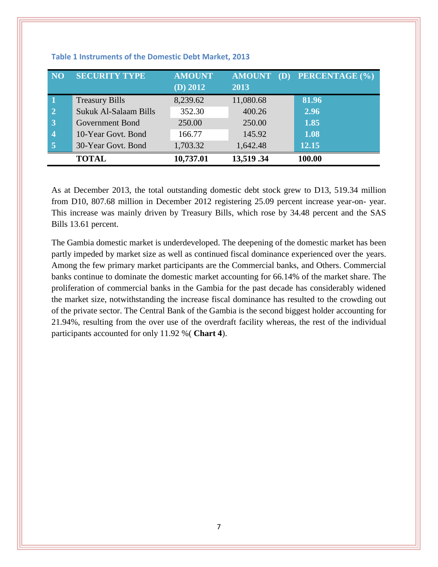| NO.                     | <b>SECURITY TYPE</b>  | <b>AMOUNT</b><br>(D) 2012 | <b>AMOUNT</b><br>2013 | PERCENTAGE (%) |
|-------------------------|-----------------------|---------------------------|-----------------------|----------------|
| $\mathbf 1$             | <b>Treasury Bills</b> | 8,239.62                  | 11,080.68             | 81.96          |
| $\overline{2}$          | Sukuk Al-Salaam Bills | 352.30                    | 400.26                | 2.96           |
| $\overline{3}$          | Government Bond       | 250.00                    | 250.00                | 1.85           |
| $\overline{\mathbf{4}}$ | 10-Year Govt. Bond    | 166.77                    | 145.92                | 1.08           |
| $\overline{5}$          | 30-Year Govt. Bond    | 1,703.32                  | 1,642.48              | 12.15          |
|                         | <b>TOTAL</b>          | 10,737.01                 | 13,519.34             | 100.00         |

<span id="page-11-0"></span>**Table 1 Instruments of the Domestic Debt Market, 2013**

As at December 2013, the total outstanding domestic debt stock grew to D13, 519.34 million from D10, 807.68 million in December 2012 registering 25.09 percent increase year-on- year. This increase was mainly driven by Treasury Bills, which rose by 34.48 percent and the SAS Bills 13.61 percent.

The Gambia domestic market is underdeveloped. The deepening of the domestic market has been partly impeded by market size as well as continued fiscal dominance experienced over the years. Among the few primary market participants are the Commercial banks, and Others. Commercial banks continue to dominate the domestic market accounting for 66.14% of the market share. The proliferation of commercial banks in the Gambia for the past decade has considerably widened the market size, notwithstanding the increase fiscal dominance has resulted to the crowding out of the private sector. The Central Bank of the Gambia is the second biggest holder accounting for 21.94%, resulting from the over use of the overdraft facility whereas, the rest of the individual participants accounted for only 11.92 %( **Chart 4**).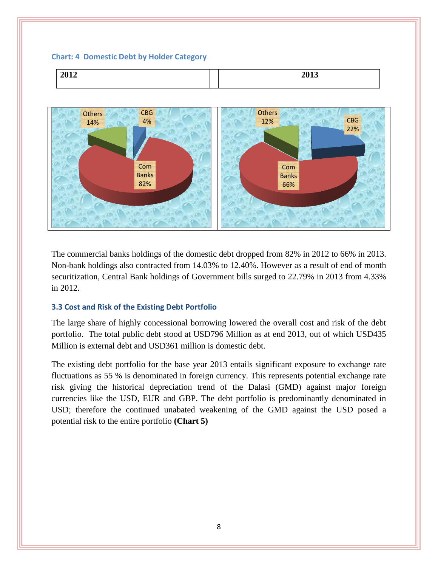#### <span id="page-12-1"></span>**Chart: 4 Domestic Debt by Holder Category**





The commercial banks holdings of the domestic debt dropped from 82% in 2012 to 66% in 2013. Non-bank holdings also contracted from 14.03% to 12.40%. However as a result of end of month securitization, Central Bank holdings of Government bills surged to 22.79% in 2013 from 4.33% in 2012.

# <span id="page-12-0"></span>**3.3 Cost and Risk of the Existing Debt Portfolio**

The large share of highly concessional borrowing lowered the overall cost and risk of the debt portfolio. The total public debt stood at USD796 Million as at end 2013, out of which USD435 Million is external debt and USD361 million is domestic debt.

The existing debt portfolio for the base year 2013 entails significant exposure to exchange rate fluctuations as 55 % is denominated in foreign currency. This represents potential exchange rate risk giving the historical depreciation trend of the Dalasi (GMD) against major foreign currencies like the USD, EUR and GBP. The debt portfolio is predominantly denominated in USD; therefore the continued unabated weakening of the GMD against the USD posed a potential risk to the entire portfolio **(Chart 5)**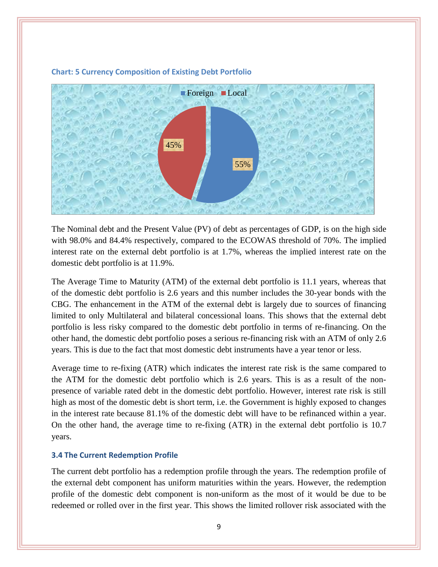

#### <span id="page-13-1"></span>**Chart: 5 Currency Composition of Existing Debt Portfolio**

The Nominal debt and the Present Value (PV) of debt as percentages of GDP, is on the high side with 98.0% and 84.4% respectively, compared to the ECOWAS threshold of 70%. The implied interest rate on the external debt portfolio is at 1.7%, whereas the implied interest rate on the domestic debt portfolio is at 11.9%.

The Average Time to Maturity (ATM) of the external debt portfolio is 11.1 years, whereas that of the domestic debt portfolio is 2.6 years and this number includes the 30-year bonds with the CBG. The enhancement in the ATM of the external debt is largely due to sources of financing limited to only Multilateral and bilateral concessional loans. This shows that the external debt portfolio is less risky compared to the domestic debt portfolio in terms of re-financing. On the other hand, the domestic debt portfolio poses a serious re-financing risk with an ATM of only 2.6 years. This is due to the fact that most domestic debt instruments have a year tenor or less.

Average time to re-fixing (ATR) which indicates the interest rate risk is the same compared to the ATM for the domestic debt portfolio which is 2.6 years. This is as a result of the nonpresence of variable rated debt in the domestic debt portfolio. However, interest rate risk is still high as most of the domestic debt is short term, i.e. the Government is highly exposed to changes in the interest rate because 81.1% of the domestic debt will have to be refinanced within a year. On the other hand, the average time to re-fixing (ATR) in the external debt portfolio is 10.7 years.

# <span id="page-13-0"></span>**3.4 The Current Redemption Profile**

The current debt portfolio has a redemption profile through the years. The redemption profile of the external debt component has uniform maturities within the years. However, the redemption profile of the domestic debt component is non-uniform as the most of it would be due to be redeemed or rolled over in the first year. This shows the limited rollover risk associated with the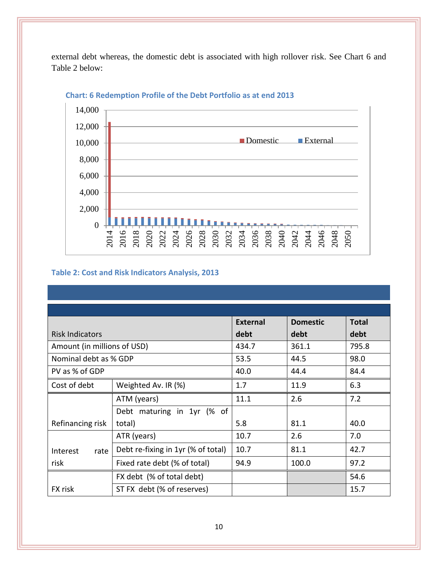external debt whereas, the domestic debt is associated with high rollover risk. See Chart 6 and Table 2 below:



# **Chart: 6 Redemption Profile of the Debt Portfolio as at end 2013**

# <span id="page-14-0"></span>**Table 2: Cost and Risk Indicators Analysis, 2013**

|                             |                                    | <b>External</b> | <b>Domestic</b> | <b>Total</b> |
|-----------------------------|------------------------------------|-----------------|-----------------|--------------|
| <b>Risk Indicators</b>      |                                    | debt            | debt            | debt         |
| Amount (in millions of USD) |                                    | 434.7           | 361.1           | 795.8        |
| Nominal debt as % GDP       |                                    | 53.5            | 44.5            | 98.0         |
| PV as % of GDP              |                                    | 40.0            | 44.4            | 84.4         |
| Cost of debt                | Weighted Av. IR (%)                | 1.7             | 11.9            | 6.3          |
|                             | ATM (years)                        | 11.1            | 2.6             | 7.2          |
|                             | Debt maturing in 1yr (% of         |                 |                 |              |
| Refinancing risk            | total)                             | 5.8             | 81.1            | 40.0         |
|                             | ATR (years)                        | 10.7            | 2.6             | 7.0          |
| Interest<br>rate            | Debt re-fixing in 1yr (% of total) | 10.7            | 81.1            | 42.7         |
| risk                        | Fixed rate debt (% of total)       | 94.9            | 100.0           | 97.2         |
|                             | FX debt (% of total debt)          |                 |                 | 54.6         |
| FX risk                     | ST FX debt (% of reserves)         |                 |                 | 15.7         |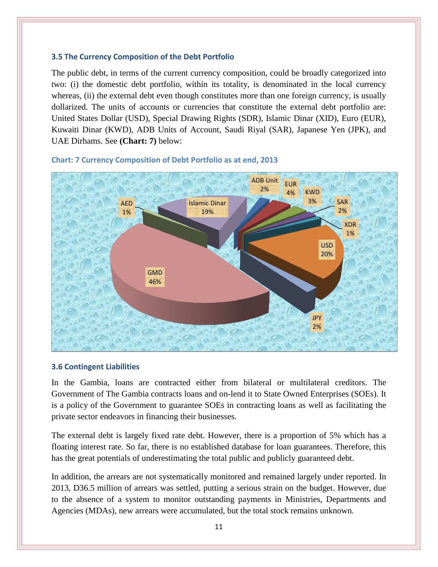### <span id="page-15-0"></span>**3.5 The Currency Composition of the Debt Portfolio**

The public debt, in terms of the current currency composition, could be broadly categorized into two: (i) the domestic debt portfolio, within its totality, is denominated in the local currency whereas, (ii) the external debt even though constitutes more than one foreign currency, is usually dollarized. The units of accounts or currencies that constitute the external debt portfolio are: United States Dollar (USD), Special Drawing Rights (SDR), Islamic Dinar (XID), Euro (EUR), Kuwaiti Dinar (KWD), ADB Units of Account, Saudi Riyal (SAR), Japanese Yen (JPK), and UAE Dirhams. See **(Chart: 7)** below:



#### <span id="page-15-2"></span>**Chart: 7 Currency Composition of Debt Portfolio as at end, 2013**

#### <span id="page-15-1"></span>**3.6 Contingent Liabilities**

In the Gambia, loans are contracted either from bilateral or multilateral creditors. The Government of The Gambia contracts loans and on-lend it to State Owned Enterprises (SOEs). It is a policy of the Government to guarantee SOEs in contracting loans as well as facilitating the private sector endeavors in financing their businesses.

The external debt is largely fixed rate debt. However, there is a proportion of 5% which has a floating interest rate. So far, there is no established database for loan guarantees. Therefore, this has the great potentials of underestimating the total public and publicly guaranteed debt.

In addition, the arrears are not systematically monitored and remained largely under reported. In 2013, D36.5 million of arrears was settled, putting a serious strain on the budget. However, due to the absence of a system to monitor outstanding payments in Ministries, Departments and Agencies (MDAs), new arrears were accumulated, but the total stock remains unknown.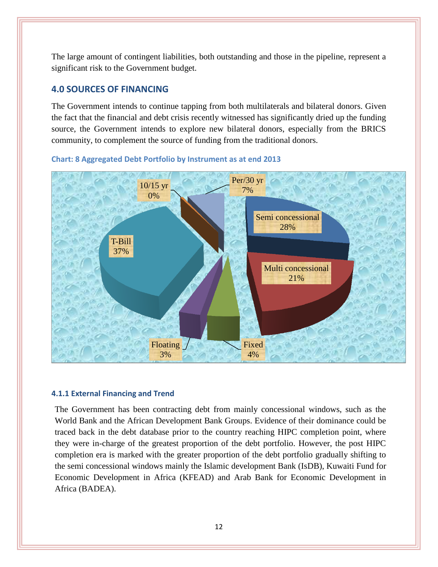The large amount of contingent liabilities, both outstanding and those in the pipeline, represent a significant risk to the Government budget.

# <span id="page-16-0"></span>**4.0 SOURCES OF FINANCING**

The Government intends to continue tapping from both multilaterals and bilateral donors. Given the fact that the financial and debt crisis recently witnessed has significantly dried up the funding source, the Government intends to explore new bilateral donors, especially from the BRICS community, to complement the source of funding from the traditional donors.



### <span id="page-16-2"></span>**Chart: 8 Aggregated Debt Portfolio by Instrument as at end 2013**

# <span id="page-16-1"></span>**4.1.1 External Financing and Trend**

The Government has been contracting debt from mainly concessional windows, such as the World Bank and the African Development Bank Groups. Evidence of their dominance could be traced back in the debt database prior to the country reaching HIPC completion point, where they were in-charge of the greatest proportion of the debt portfolio. However, the post HIPC completion era is marked with the greater proportion of the debt portfolio gradually shifting to the semi concessional windows mainly the Islamic development Bank (IsDB), Kuwaiti Fund for Economic Development in Africa (KFEAD) and Arab Bank for Economic Development in Africa (BADEA).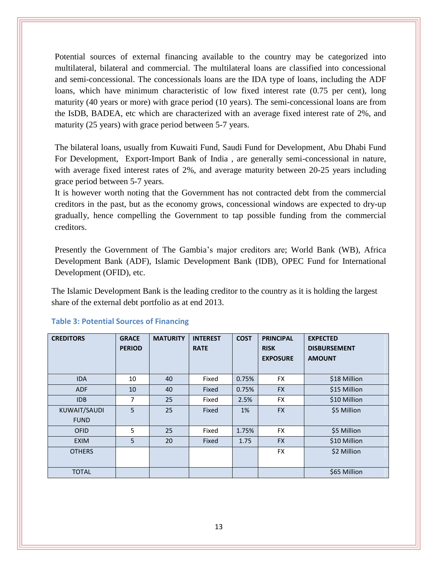Potential sources of external financing available to the country may be categorized into multilateral, bilateral and commercial. The multilateral loans are classified into concessional and semi-concessional. The concessionals loans are the IDA type of loans, including the ADF loans, which have minimum characteristic of low fixed interest rate (0.75 per cent), long maturity (40 years or more) with grace period (10 years). The semi-concessional loans are from the IsDB, BADEA, etc which are characterized with an average fixed interest rate of 2%, and maturity (25 years) with grace period between 5-7 years.

The bilateral loans, usually from Kuwaiti Fund, Saudi Fund for Development, Abu Dhabi Fund For Development, Export-Import Bank of India , are generally semi-concessional in nature, with average fixed interest rates of 2%, and average maturity between 20-25 years including grace period between 5-7 years.

It is however worth noting that the Government has not contracted debt from the commercial creditors in the past, but as the economy grows, concessional windows are expected to dry-up gradually, hence compelling the Government to tap possible funding from the commercial creditors.

Presently the Government of The Gambia's major creditors are; World Bank (WB), Africa Development Bank (ADF), Islamic Development Bank (IDB), OPEC Fund for International Development (OFID), etc.

The Islamic Development Bank is the leading creditor to the country as it is holding the largest share of the external debt portfolio as at end 2013.

| <b>CREDITORS</b> | <b>GRACE</b><br><b>PERIOD</b> | <b>MATURITY</b> | <b>INTEREST</b><br><b>RATE</b> | <b>COST</b> | <b>PRINCIPAL</b><br><b>RISK</b><br><b>EXPOSURE</b> | <b>EXPECTED</b><br><b>DISBURSEMENT</b><br><b>AMOUNT</b> |
|------------------|-------------------------------|-----------------|--------------------------------|-------------|----------------------------------------------------|---------------------------------------------------------|
| <b>IDA</b>       | 10                            | 40              | Fixed                          | 0.75%       | <b>FX</b>                                          | \$18 Million                                            |
| <b>ADF</b>       | 10                            | 40              | Fixed                          | 0.75%       | <b>FX</b>                                          | \$15 Million                                            |
| IDB              | 7                             | 25              | Fixed                          | 2.5%        | <b>FX</b>                                          | \$10 Million                                            |
| KUWAIT/SAUDI     | 5                             | 25              | Fixed                          | 1%          | <b>FX</b>                                          | \$5 Million                                             |
| <b>FUND</b>      |                               |                 |                                |             |                                                    |                                                         |
| <b>OFID</b>      | 5                             | 25              | Fixed                          | 1.75%       | <b>FX</b>                                          | \$5 Million                                             |
| <b>EXIM</b>      | 5                             | 20              | Fixed                          | 1.75        | <b>FX</b>                                          | \$10 Million                                            |
| <b>OTHERS</b>    |                               |                 |                                |             | <b>FX</b>                                          | \$2 Million                                             |
| <b>TOTAL</b>     |                               |                 |                                |             |                                                    | \$65 Million                                            |

#### <span id="page-17-0"></span>**Table 3: Potential Sources of Financing**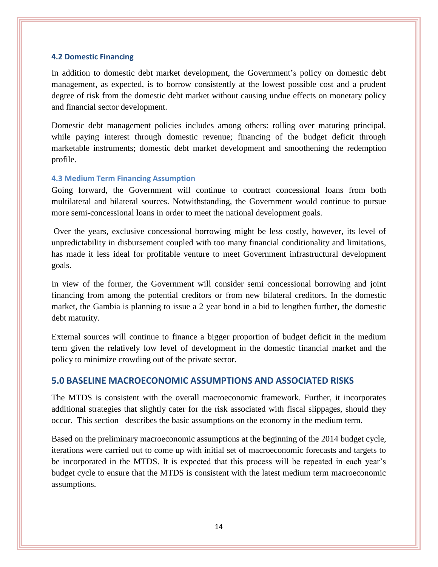#### <span id="page-18-0"></span>**4.2 Domestic Financing**

In addition to domestic debt market development, the Government's policy on domestic debt management, as expected, is to borrow consistently at the lowest possible cost and a prudent degree of risk from the domestic debt market without causing undue effects on monetary policy and financial sector development.

Domestic debt management policies includes among others: rolling over maturing principal, while paying interest through domestic revenue; financing of the budget deficit through marketable instruments; domestic debt market development and smoothening the redemption profile.

# <span id="page-18-1"></span>**4.3 Medium Term Financing Assumption**

Going forward, the Government will continue to contract concessional loans from both multilateral and bilateral sources. Notwithstanding, the Government would continue to pursue more semi-concessional loans in order to meet the national development goals.

Over the years, exclusive concessional borrowing might be less costly, however, its level of unpredictability in disbursement coupled with too many financial conditionality and limitations, has made it less ideal for profitable venture to meet Government infrastructural development goals.

In view of the former, the Government will consider semi concessional borrowing and joint financing from among the potential creditors or from new bilateral creditors. In the domestic market, the Gambia is planning to issue a 2 year bond in a bid to lengthen further, the domestic debt maturity.

External sources will continue to finance a bigger proportion of budget deficit in the medium term given the relatively low level of development in the domestic financial market and the policy to minimize crowding out of the private sector.

# <span id="page-18-2"></span>**5.0 BASELINE MACROECONOMIC ASSUMPTIONS AND ASSOCIATED RISKS**

The MTDS is consistent with the overall macroeconomic framework. Further, it incorporates additional strategies that slightly cater for the risk associated with fiscal slippages, should they occur. This section describes the basic assumptions on the economy in the medium term.

Based on the preliminary macroeconomic assumptions at the beginning of the 2014 budget cycle, iterations were carried out to come up with initial set of macroeconomic forecasts and targets to be incorporated in the MTDS. It is expected that this process will be repeated in each year's budget cycle to ensure that the MTDS is consistent with the latest medium term macroeconomic assumptions.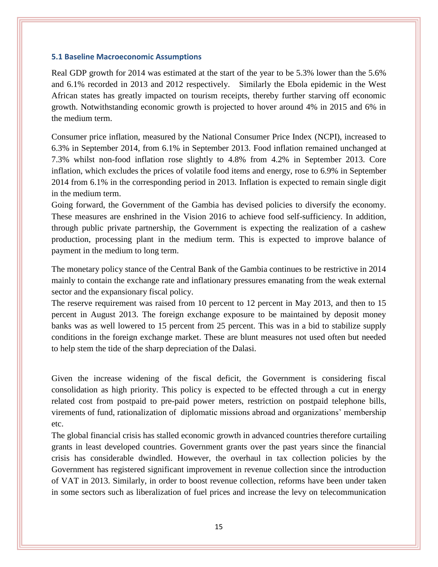#### <span id="page-19-0"></span>**5.1 Baseline Macroeconomic Assumptions**

Real GDP growth for 2014 was estimated at the start of the year to be 5.3% lower than the 5.6% and 6.1% recorded in 2013 and 2012 respectively. Similarly the Ebola epidemic in the West African states has greatly impacted on tourism receipts, thereby further starving off economic growth. Notwithstanding economic growth is projected to hover around 4% in 2015 and 6% in the medium term.

Consumer price inflation, measured by the National Consumer Price Index (NCPI), increased to 6.3% in September 2014, from 6.1% in September 2013. Food inflation remained unchanged at 7.3% whilst non-food inflation rose slightly to 4.8% from 4.2% in September 2013. Core inflation, which excludes the prices of volatile food items and energy, rose to 6.9% in September 2014 from 6.1% in the corresponding period in 2013. Inflation is expected to remain single digit in the medium term.

Going forward, the Government of the Gambia has devised policies to diversify the economy. These measures are enshrined in the Vision 2016 to achieve food self-sufficiency. In addition, through public private partnership, the Government is expecting the realization of a cashew production, processing plant in the medium term. This is expected to improve balance of payment in the medium to long term.

The monetary policy stance of the Central Bank of the Gambia continues to be restrictive in 2014 mainly to contain the exchange rate and inflationary pressures emanating from the weak external sector and the expansionary fiscal policy.

The reserve requirement was raised from 10 percent to 12 percent in May 2013, and then to 15 percent in August 2013. The foreign exchange exposure to be maintained by deposit money banks was as well lowered to 15 percent from 25 percent. This was in a bid to stabilize supply conditions in the foreign exchange market. These are blunt measures not used often but needed to help stem the tide of the sharp depreciation of the Dalasi.

Given the increase widening of the fiscal deficit, the Government is considering fiscal consolidation as high priority. This policy is expected to be effected through a cut in energy related cost from postpaid to pre-paid power meters, restriction on postpaid telephone bills, virements of fund, rationalization of diplomatic missions abroad and organizations' membership etc.

The global financial crisis has stalled economic growth in advanced countries therefore curtailing grants in least developed countries. Government grants over the past years since the financial crisis has considerable dwindled. However, the overhaul in tax collection policies by the Government has registered significant improvement in revenue collection since the introduction of VAT in 2013. Similarly, in order to boost revenue collection, reforms have been under taken in some sectors such as liberalization of fuel prices and increase the levy on telecommunication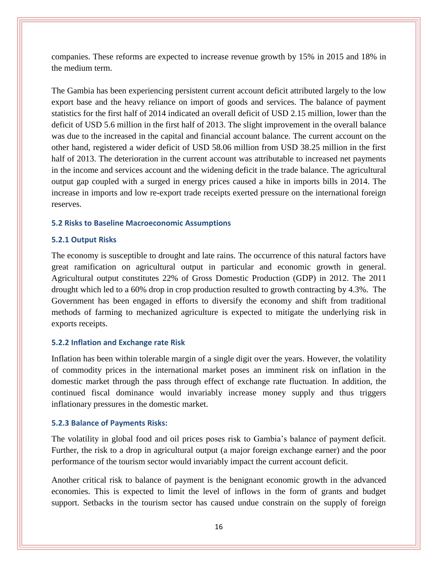companies. These reforms are expected to increase revenue growth by 15% in 2015 and 18% in the medium term.

The Gambia has been experiencing persistent current account deficit attributed largely to the low export base and the heavy reliance on import of goods and services. The balance of payment statistics for the first half of 2014 indicated an overall deficit of USD 2.15 million, lower than the deficit of USD 5.6 million in the first half of 2013. The slight improvement in the overall balance was due to the increased in the capital and financial account balance. The current account on the other hand, registered a wider deficit of USD 58.06 million from USD 38.25 million in the first half of 2013. The deterioration in the current account was attributable to increased net payments in the income and services account and the widening deficit in the trade balance. The agricultural output gap coupled with a surged in energy prices caused a hike in imports bills in 2014. The increase in imports and low re-export trade receipts exerted pressure on the international foreign reserves.

#### <span id="page-20-0"></span>**5.2 Risks to Baseline Macroeconomic Assumptions**

#### <span id="page-20-1"></span>**5.2.1 Output Risks**

The economy is susceptible to drought and late rains. The occurrence of this natural factors have great ramification on agricultural output in particular and economic growth in general. Agricultural output constitutes 22% of Gross Domestic Production (GDP) in 2012. The 2011 drought which led to a 60% drop in crop production resulted to growth contracting by 4.3%. The Government has been engaged in efforts to diversify the economy and shift from traditional methods of farming to mechanized agriculture is expected to mitigate the underlying risk in exports receipts.

#### **5.2.2 Inflation and Exchange rate Risk**

Inflation has been within tolerable margin of a single digit over the years. However, the volatility of commodity prices in the international market poses an imminent risk on inflation in the domestic market through the pass through effect of exchange rate fluctuation. In addition, the continued fiscal dominance would invariably increase money supply and thus triggers inflationary pressures in the domestic market.

#### <span id="page-20-2"></span>**5.2.3 Balance of Payments Risks:**

The volatility in global food and oil prices poses risk to Gambia's balance of payment deficit. Further, the risk to a drop in agricultural output (a major foreign exchange earner) and the poor performance of the tourism sector would invariably impact the current account deficit.

Another critical risk to balance of payment is the benignant economic growth in the advanced economies. This is expected to limit the level of inflows in the form of grants and budget support. Setbacks in the tourism sector has caused undue constrain on the supply of foreign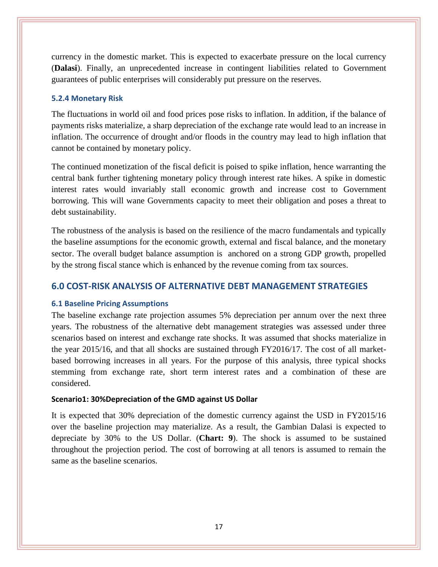currency in the domestic market. This is expected to exacerbate pressure on the local currency (**Dalasi**). Finally, an unprecedented increase in contingent liabilities related to Government guarantees of public enterprises will considerably put pressure on the reserves.

#### <span id="page-21-0"></span>**5.2.4 Monetary Risk**

The fluctuations in world oil and food prices pose risks to inflation. In addition, if the balance of payments risks materialize, a sharp depreciation of the exchange rate would lead to an increase in inflation. The occurrence of drought and/or floods in the country may lead to high inflation that cannot be contained by monetary policy.

The continued monetization of the fiscal deficit is poised to spike inflation, hence warranting the central bank further tightening monetary policy through interest rate hikes. A spike in domestic interest rates would invariably stall economic growth and increase cost to Government borrowing. This will wane Governments capacity to meet their obligation and poses a threat to debt sustainability.

The robustness of the analysis is based on the resilience of the macro fundamentals and typically the baseline assumptions for the economic growth, external and fiscal balance, and the monetary sector. The overall budget balance assumption is anchored on a strong GDP growth, propelled by the strong fiscal stance which is enhanced by the revenue coming from tax sources.

# <span id="page-21-1"></span>**6.0 COST-RISK ANALYSIS OF ALTERNATIVE DEBT MANAGEMENT STRATEGIES**

#### **6.1 Baseline Pricing Assumptions**

The baseline exchange rate projection assumes 5% depreciation per annum over the next three years. The robustness of the alternative debt management strategies was assessed under three scenarios based on interest and exchange rate shocks. It was assumed that shocks materialize in the year 2015/16, and that all shocks are sustained through FY2016/17. The cost of all marketbased borrowing increases in all years. For the purpose of this analysis, three typical shocks stemming from exchange rate, short term interest rates and a combination of these are considered.

#### **Scenario1: 30%Depreciation of the GMD against US Dollar**

It is expected that 30% depreciation of the domestic currency against the USD in FY2015/16 over the baseline projection may materialize. As a result, the Gambian Dalasi is expected to depreciate by 30% to the US Dollar. (**Chart: 9**). The shock is assumed to be sustained throughout the projection period. The cost of borrowing at all tenors is assumed to remain the same as the baseline scenarios.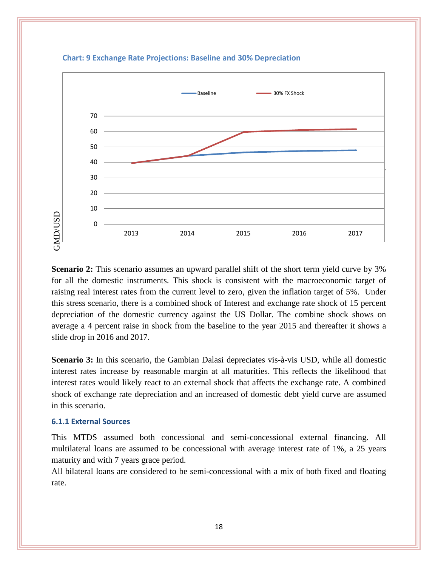

**Chart: 9 Exchange Rate Projections: Baseline and 30% Depreciation**

**Scenario 2:** This scenario assumes an upward parallel shift of the short term yield curve by 3% for all the domestic instruments. This shock is consistent with the macroeconomic target of raising real interest rates from the current level to zero, given the inflation target of 5%. Under this stress scenario, there is a combined shock of Interest and exchange rate shock of 15 percent depreciation of the domestic currency against the US Dollar. The combine shock shows on average a 4 percent raise in shock from the baseline to the year 2015 and thereafter it shows a slide drop in 2016 and 2017.

**Scenario 3:** In this scenario, the Gambian Dalasi depreciates vis-à-vis USD, while all domestic interest rates increase by reasonable margin at all maturities. This reflects the likelihood that interest rates would likely react to an external shock that affects the exchange rate. A combined shock of exchange rate depreciation and an increased of domestic debt yield curve are assumed in this scenario.

#### <span id="page-22-0"></span>**6.1.1 External Sources**

This MTDS assumed both concessional and semi-concessional external financing. All multilateral loans are assumed to be concessional with average interest rate of 1%, a 25 years maturity and with 7 years grace period.

All bilateral loans are considered to be semi-concessional with a mix of both fixed and floating rate.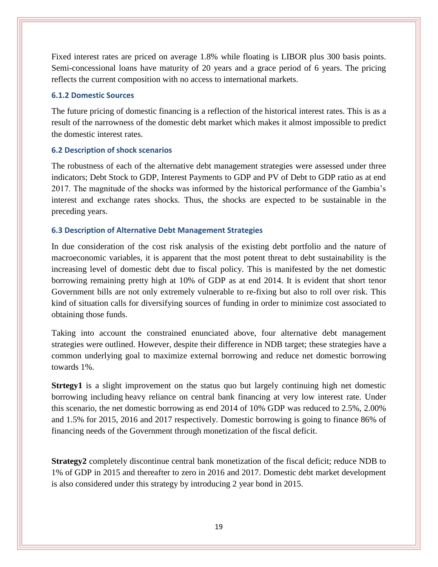Fixed interest rates are priced on average 1.8% while floating is LIBOR plus 300 basis points. Semi-concessional loans have maturity of 20 years and a grace period of 6 years. The pricing reflects the current composition with no access to international markets.

#### <span id="page-23-0"></span>**6.1.2 Domestic Sources**

The future pricing of domestic financing is a reflection of the historical interest rates. This is as a result of the narrowness of the domestic debt market which makes it almost impossible to predict the domestic interest rates.

#### <span id="page-23-1"></span>**6.2 Description of shock scenarios**

The robustness of each of the alternative debt management strategies were assessed under three indicators; Debt Stock to GDP, Interest Payments to GDP and PV of Debt to GDP ratio as at end 2017. The magnitude of the shocks was informed by the historical performance of the Gambia's interest and exchange rates shocks. Thus, the shocks are expected to be sustainable in the preceding years.

### <span id="page-23-2"></span>**6.3 Description of Alternative Debt Management Strategies**

In due consideration of the cost risk analysis of the existing debt portfolio and the nature of macroeconomic variables, it is apparent that the most potent threat to debt sustainability is the increasing level of domestic debt due to fiscal policy. This is manifested by the net domestic borrowing remaining pretty high at 10% of GDP as at end 2014. It is evident that short tenor Government bills are not only extremely vulnerable to re-fixing but also to roll over risk. This kind of situation calls for diversifying sources of funding in order to minimize cost associated to obtaining those funds.

Taking into account the constrained enunciated above, four alternative debt management strategies were outlined. However, despite their difference in NDB target; these strategies have a common underlying goal to maximize external borrowing and reduce net domestic borrowing towards 1%.

**Strtegy1** is a slight improvement on the status quo but largely continuing high net domestic borrowing including heavy reliance on central bank financing at very low interest rate. Under this scenario, the net domestic borrowing as end 2014 of 10% GDP was reduced to 2.5%, 2.00% and 1.5% for 2015, 2016 and 2017 respectively. Domestic borrowing is going to finance 86% of financing needs of the Government through monetization of the fiscal deficit.

**Strategy2** completely discontinue central bank monetization of the fiscal deficit; reduce NDB to 1% of GDP in 2015 and thereafter to zero in 2016 and 2017. Domestic debt market development is also considered under this strategy by introducing 2 year bond in 2015.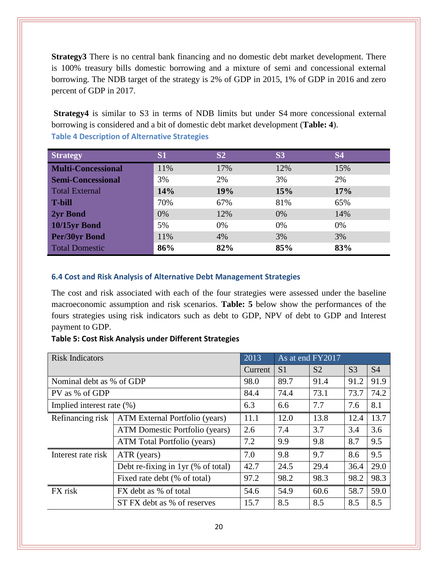**Strategy3** There is no central bank financing and no domestic debt market development. There is 100% treasury bills domestic borrowing and a mixture of semi and concessional external borrowing. The NDB target of the strategy is 2% of GDP in 2015, 1% of GDP in 2016 and zero percent of GDP in 2017.

**Strategy4** is similar to S3 in terms of NDB limits but under S4 more concessional external borrowing is considered and a bit of domestic debt market development (**Table: 4**). **Table 4 Description of Alternative Strategies**

<span id="page-24-1"></span>

| <b>Strategy</b>           | S <sub>1</sub> | S <sub>2</sub> | <b>S3</b> | <b>S4</b> |
|---------------------------|----------------|----------------|-----------|-----------|
| <b>Multi-Concessional</b> | 11%            | 17%            | 12%       | 15%       |
| <b>Semi-Concessional</b>  | 3%             | 2%             | 3%        | 2%        |
| <b>Total External</b>     | 14%            | 19%            | 15%       | 17%       |
| <b>T-bill</b>             | 70%            | 67%            | 81%       | 65%       |
| 2yr Bond                  | 0%             | 12%            | 0%        | 14%       |
| 10/15yr Bond              | 5%             | 0%             | 0%        | $0\%$     |
| <b>Per/30yr Bond</b>      | 11%            | 4%             | 3%        | 3%        |
| <b>Total Domestic</b>     | 86%            | 82%            | 85%       | 83%       |

# <span id="page-24-0"></span>**6.4 Cost and Risk Analysis of Alternative Debt Management Strategies**

The cost and risk associated with each of the four strategies were assessed under the baseline macroeconomic assumption and risk scenarios. **Table: 5** below show the performances of the fours strategies using risk indicators such as debt to GDP, NPV of debt to GDP and Interest payment to GDP.

# <span id="page-24-2"></span>**Table 5: Cost Risk Analysis under Different Strategies**

| <b>Risk Indicators</b>    |                                    | 2013    | As at end FY2017 |                |                |           |
|---------------------------|------------------------------------|---------|------------------|----------------|----------------|-----------|
|                           |                                    | Current | S <sub>1</sub>   | S <sub>2</sub> | S <sub>3</sub> | <b>S4</b> |
| Nominal debt as % of GDP  |                                    | 98.0    | 89.7             | 91.4           | 91.2           | 91.9      |
| PV as % of GDP            |                                    | 84.4    | 74.4             | 73.1           | 73.7           | 74.2      |
| Implied interest rate (%) |                                    | 6.3     | 6.6              | 7.7            | 7.6            | 8.1       |
| Refinancing risk          | ATM External Portfolio (years)     | 11.1    | 12.0             | 13.8           | 12.4           | 13.7      |
|                           | ATM Domestic Portfolio (years)     | 2.6     | 7.4              | 3.7            | 3.4            | 3.6       |
|                           | ATM Total Portfolio (years)        | 7.2     | 9.9              | 9.8            | 8.7            | 9.5       |
| Interest rate risk        | ATR (years)                        | 7.0     | 9.8              | 9.7            | 8.6            | 9.5       |
|                           | Debt re-fixing in 1yr (% of total) | 42.7    | 24.5             | 29.4           | 36.4           | 29.0      |
|                           | Fixed rate debt (% of total)       | 97.2    | 98.2             | 98.3           | 98.2           | 98.3      |
| FX risk                   | FX debt as % of total              | 54.6    | 54.9             | 60.6           | 58.7           | 59.0      |
|                           | ST FX debt as % of reserves        | 15.7    | 8.5              | 8.5            | 8.5            | 8.5       |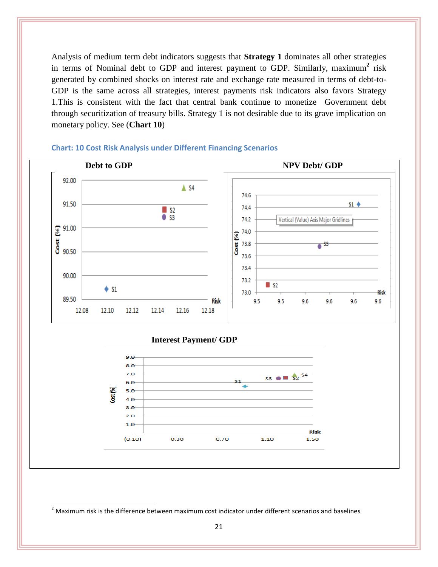Analysis of medium term debt indicators suggests that **Strategy 1** dominates all other strategies in terms of Nominal debt to GDP and interest payment to GDP. Similarly, maximum**<sup>2</sup>** risk generated by combined shocks on interest rate and exchange rate measured in terms of debt-to-GDP is the same across all strategies, interest payments risk indicators also favors Strategy 1.This is consistent with the fact that central bank continue to monetize Government debt through securitization of treasury bills. Strategy 1 is not desirable due to its grave implication on monetary policy. See (**Chart 10**)



#### <span id="page-25-0"></span>**Chart: 10 Cost Risk Analysis under Different Financing Scenarios**

 $\overline{\phantom{a}}$ 

 $2$  Maximum risk is the difference between maximum cost indicator under different scenarios and baselines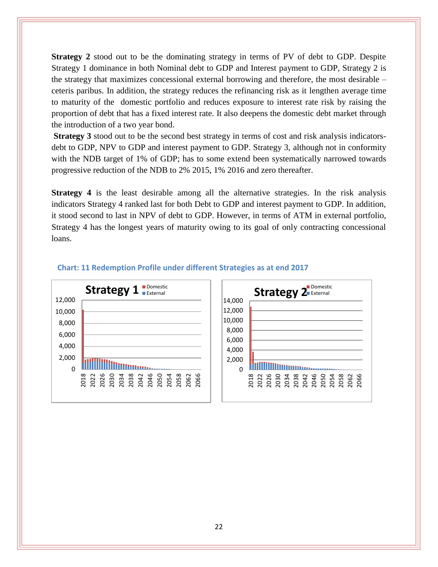**Strategy 2** stood out to be the dominating strategy in terms of PV of debt to GDP. Despite Strategy 1 dominance in both Nominal debt to GDP and Interest payment to GDP, Strategy 2 is the strategy that maximizes concessional external borrowing and therefore, the most desirable – ceteris paribus. In addition, the strategy reduces the refinancing risk as it lengthen average time to maturity of the domestic portfolio and reduces exposure to interest rate risk by raising the proportion of debt that has a fixed interest rate. It also deepens the domestic debt market through the introduction of a two year bond.

**Strategy 3** stood out to be the second best strategy in terms of cost and risk analysis indicatorsdebt to GDP, NPV to GDP and interest payment to GDP. Strategy 3, although not in conformity with the NDB target of 1% of GDP; has to some extend been systematically narrowed towards progressive reduction of the NDB to 2% 2015, 1% 2016 and zero thereafter.

**Strategy 4** is the least desirable among all the alternative strategies. In the risk analysis indicators Strategy 4 ranked last for both Debt to GDP and interest payment to GDP. In addition, it stood second to last in NPV of debt to GDP. However, in terms of ATM in external portfolio, Strategy 4 has the longest years of maturity owing to its goal of only contracting concessional loans.



#### <span id="page-26-0"></span> **Chart: 11 Redemption Profile under different Strategies as at end 2017**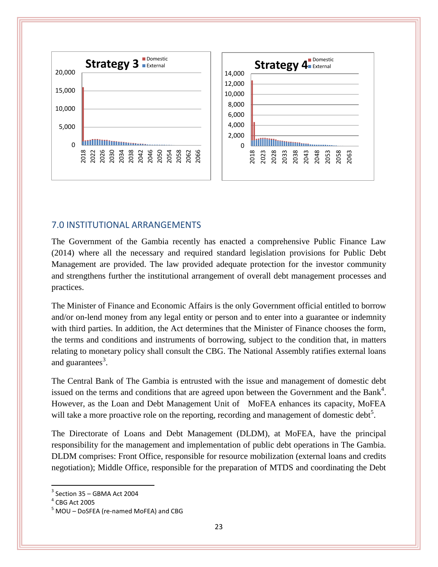

# <span id="page-27-0"></span>7.0 INSTITUTIONAL ARRANGEMENTS

The Government of the Gambia recently has enacted a comprehensive Public Finance Law (2014) where all the necessary and required standard legislation provisions for Public Debt Management are provided. The law provided adequate protection for the investor community and strengthens further the institutional arrangement of overall debt management processes and practices.

The Minister of Finance and Economic Affairs is the only Government official entitled to borrow and/or on-lend money from any legal entity or person and to enter into a guarantee or indemnity with third parties. In addition, the Act determines that the Minister of Finance chooses the form, the terms and conditions and instruments of borrowing, subject to the condition that, in matters relating to monetary policy shall consult the CBG. The National Assembly ratifies external loans and guarantees<sup>3</sup>.

The Central Bank of The Gambia is entrusted with the issue and management of domestic debt issued on the terms and conditions that are agreed upon between the Government and the Bank<sup>4</sup>. However, as the Loan and Debt Management Unit of MoFEA enhances its capacity, MoFEA will take a more proactive role on the reporting, recording and management of domestic debt<sup>5</sup>.

The Directorate of Loans and Debt Management (DLDM), at MoFEA, have the principal responsibility for the management and implementation of public debt operations in The Gambia. DLDM comprises: Front Office, responsible for resource mobilization (external loans and credits negotiation); Middle Office, responsible for the preparation of MTDS and coordinating the Debt

 $\overline{\phantom{a}}$ 

 $3$  Section 35 – GBMA Act 2004

 $^4$  CBG Act 2005

<sup>5</sup> MOU – DoSFEA (re-named MoFEA) and CBG